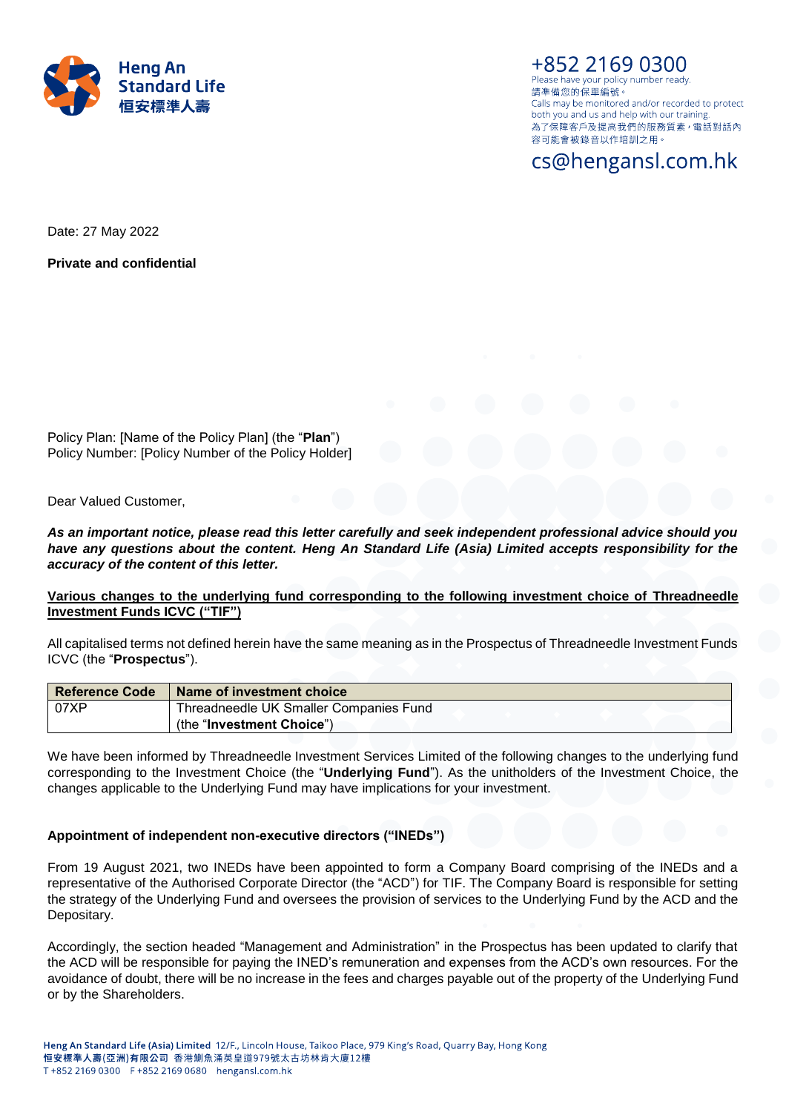

+852 2169 0300 Please have your policy number ready. 請凖備您的保單編號。 Calls may be monitored and/or recorded to protect both you and us and help with our training. 為了保障客戶及提高我們的服務質素, 電話對話內 容可能會被錄音以作培訓之用。

# cs@hengansl.com.hk

Date: 27 May 2022

**Private and confidential**

Policy Plan: [Name of the Policy Plan] (the "**Plan**") Policy Number: [Policy Number of the Policy Holder]

Dear Valued Customer,

*As an important notice, please read this letter carefully and seek independent professional advice should you have any questions about the content. Heng An Standard Life (Asia) Limited accepts responsibility for the accuracy of the content of this letter.*

# **Various changes to the underlying fund corresponding to the following investment choice of Threadneedle Investment Funds ICVC ("TIF")**

All capitalised terms not defined herein have the same meaning as in the Prospectus of Threadneedle Investment Funds ICVC (the "**Prospectus**").

| <b>Reference Code</b> | <b>Name of investment choice</b>       |
|-----------------------|----------------------------------------|
| 07XP                  | Threadneedle UK Smaller Companies Fund |
|                       | (the "Investment Choice")              |

We have been informed by Threadneedle Investment Services Limited of the following changes to the underlying fund corresponding to the Investment Choice (the "**Underlying Fund**"). As the unitholders of the Investment Choice, the changes applicable to the Underlying Fund may have implications for your investment.

## **Appointment of independent non-executive directors ("INEDs")**

From 19 August 2021, two INEDs have been appointed to form a Company Board comprising of the INEDs and a representative of the Authorised Corporate Director (the "ACD") for TIF. The Company Board is responsible for setting the strategy of the Underlying Fund and oversees the provision of services to the Underlying Fund by the ACD and the Depositary.

Accordingly, the section headed "Management and Administration" in the Prospectus has been updated to clarify that the ACD will be responsible for paying the INED's remuneration and expenses from the ACD's own resources. For the avoidance of doubt, there will be no increase in the fees and charges payable out of the property of the Underlying Fund or by the Shareholders.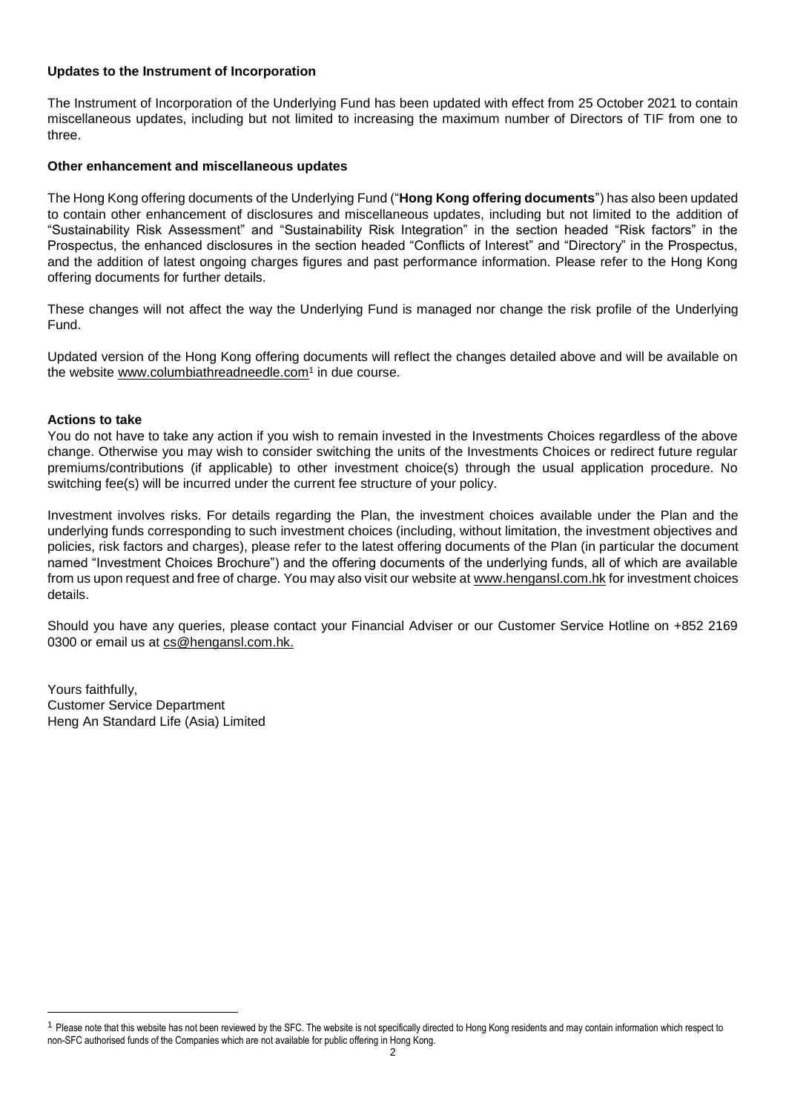# **Updates to the Instrument of Incorporation**

The Instrument of Incorporation of the Underlying Fund has been updated with effect from 25 October 2021 to contain miscellaneous updates, including but not limited to increasing the maximum number of Directors of TIF from one to three.

# **Other enhancement and miscellaneous updates**

The Hong Kong offering documents of the Underlying Fund ("**Hong Kong offering documents**") has also been updated to contain other enhancement of disclosures and miscellaneous updates, including but not limited to the addition of "Sustainability Risk Assessment" and "Sustainability Risk Integration" in the section headed "Risk factors" in the Prospectus, the enhanced disclosures in the section headed "Conflicts of Interest" and "Directory" in the Prospectus, and the addition of latest ongoing charges figures and past performance information. Please refer to the Hong Kong offering documents for further details.

These changes will not affect the way the Underlying Fund is managed nor change the risk profile of the Underlying Fund.

Updated version of the Hong Kong offering documents will reflect the changes detailed above and will be available on the website www.columbiathreadneedle.com<sup>1</sup> in due course.

## **Actions to take**

 $\overline{a}$ 

You do not have to take any action if you wish to remain invested in the Investments Choices regardless of the above change. Otherwise you may wish to consider switching the units of the Investments Choices or redirect future regular premiums/contributions (if applicable) to other investment choice(s) through the usual application procedure. No switching fee(s) will be incurred under the current fee structure of your policy.

Investment involves risks. For details regarding the Plan, the investment choices available under the Plan and the underlying funds corresponding to such investment choices (including, without limitation, the investment objectives and policies, risk factors and charges), please refer to the latest offering documents of the Plan (in particular the document named "Investment Choices Brochure") and the offering documents of the underlying funds, all of which are available from us upon request and free of charge. You may also visit our website a[t www.hengansl.com.hk](http://www.hengansl.com.hk/) for investment choices details.

Should you have any queries, please contact your Financial Adviser or our Customer Service Hotline on +852 2169 0300 or email us at [cs@hengansl.com.hk.](mailto:cs@hengansl.com.hk)

Yours faithfully, Customer Service Department Heng An Standard Life (Asia) Limited

<sup>&</sup>lt;sup>1</sup> Please note that this website has not been reviewed by the SFC. The website is not specifically directed to Hong Kong residents and may contain information which respect to non-SFC authorised funds of the Companies which are not available for public offering in Hong Kong.